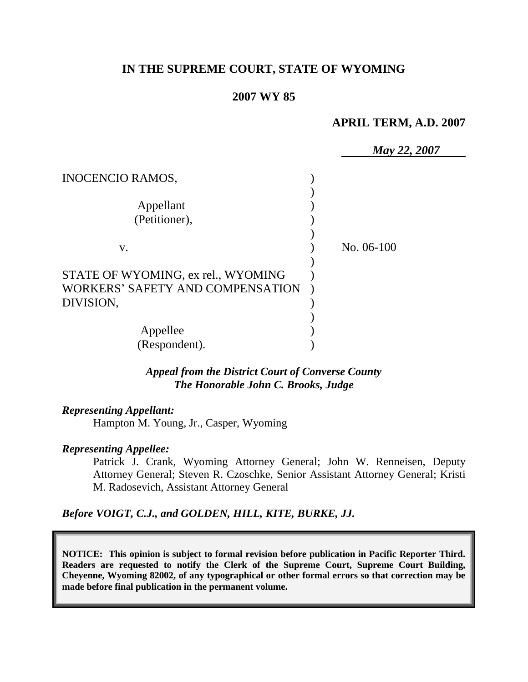# **IN THE SUPREME COURT, STATE OF WYOMING**

#### **2007 WY 85**

#### **APRIL TERM, A.D. 2007**

|                                    | <b>May 22, 2007</b> |
|------------------------------------|---------------------|
| <b>INOCENCIO RAMOS,</b>            |                     |
|                                    |                     |
| Appellant                          |                     |
| (Petitioner),                      |                     |
|                                    |                     |
| V.                                 | No. $06-100$        |
|                                    |                     |
| STATE OF WYOMING, ex rel., WYOMING |                     |
| WORKERS' SAFETY AND COMPENSATION   |                     |
| DIVISION,                          |                     |
|                                    |                     |
| Appellee                           |                     |
| (Respondent).                      |                     |

*Appeal from the District Court of Converse County The Honorable John C. Brooks, Judge* 

#### *Representing Appellant:*

Hampton M. Young, Jr., Casper, Wyoming

#### *Representing Appellee:*

Patrick J. Crank, Wyoming Attorney General; John W. Renneisen, Deputy Attorney General; Steven R. Czoschke, Senior Assistant Attorney General; Kristi M. Radosevich, Assistant Attorney General

*Before VOIGT, C.J., and GOLDEN, HILL, KITE, BURKE, JJ.*

**NOTICE: This opinion is subject to formal revision before publication in Pacific Reporter Third. Readers are requested to notify the Clerk of the Supreme Court, Supreme Court Building, Cheyenne, Wyoming 82002, of any typographical or other formal errors so that correction may be made before final publication in the permanent volume.**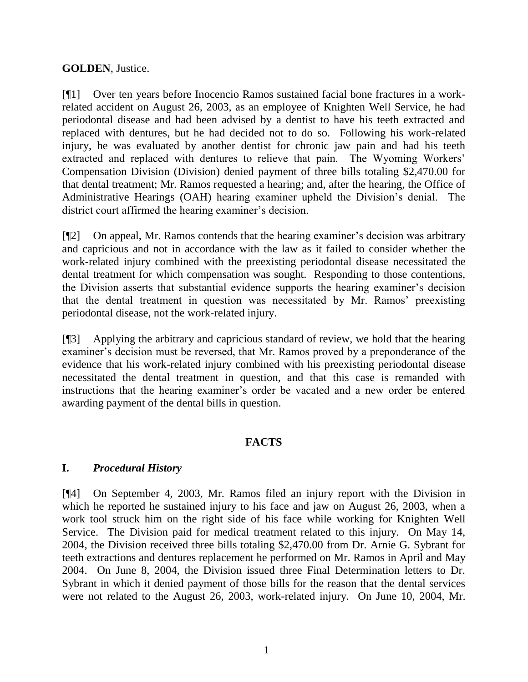#### **GOLDEN**, Justice.

[¶1] Over ten years before Inocencio Ramos sustained facial bone fractures in a workrelated accident on August 26, 2003, as an employee of Knighten Well Service, he had periodontal disease and had been advised by a dentist to have his teeth extracted and replaced with dentures, but he had decided not to do so. Following his work-related injury, he was evaluated by another dentist for chronic jaw pain and had his teeth extracted and replaced with dentures to relieve that pain. The Wyoming Workers' Compensation Division (Division) denied payment of three bills totaling \$2,470.00 for that dental treatment; Mr. Ramos requested a hearing; and, after the hearing, the Office of Administrative Hearings (OAH) hearing examiner upheld the Division's denial. The district court affirmed the hearing examiner's decision.

[¶2] On appeal, Mr. Ramos contends that the hearing examiner's decision was arbitrary and capricious and not in accordance with the law as it failed to consider whether the work-related injury combined with the preexisting periodontal disease necessitated the dental treatment for which compensation was sought. Responding to those contentions, the Division asserts that substantial evidence supports the hearing examiner's decision that the dental treatment in question was necessitated by Mr. Ramos' preexisting periodontal disease, not the work-related injury.

[¶3] Applying the arbitrary and capricious standard of review, we hold that the hearing examiner's decision must be reversed, that Mr. Ramos proved by a preponderance of the evidence that his work-related injury combined with his preexisting periodontal disease necessitated the dental treatment in question, and that this case is remanded with instructions that the hearing examiner's order be vacated and a new order be entered awarding payment of the dental bills in question.

# **FACTS**

# **I.** *Procedural History*

[¶4] On September 4, 2003, Mr. Ramos filed an injury report with the Division in which he reported he sustained injury to his face and jaw on August 26, 2003, when a work tool struck him on the right side of his face while working for Knighten Well Service. The Division paid for medical treatment related to this injury. On May 14, 2004, the Division received three bills totaling \$2,470.00 from Dr. Arnie G. Sybrant for teeth extractions and dentures replacement he performed on Mr. Ramos in April and May 2004. On June 8, 2004, the Division issued three Final Determination letters to Dr. Sybrant in which it denied payment of those bills for the reason that the dental services were not related to the August 26, 2003, work-related injury. On June 10, 2004, Mr.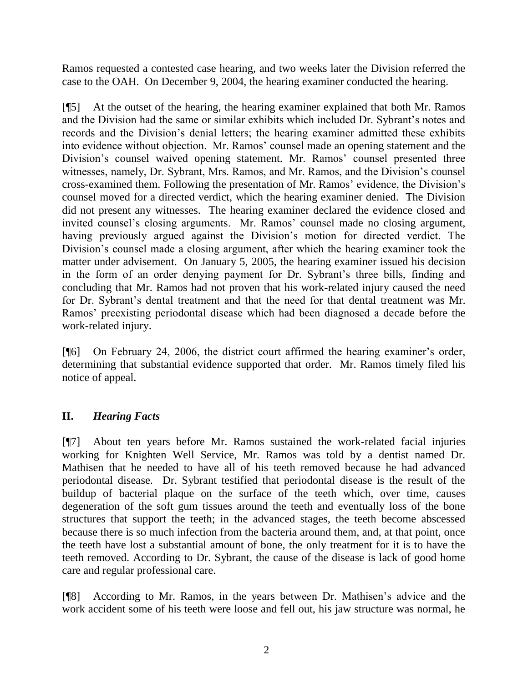Ramos requested a contested case hearing, and two weeks later the Division referred the case to the OAH. On December 9, 2004, the hearing examiner conducted the hearing.

[¶5] At the outset of the hearing, the hearing examiner explained that both Mr. Ramos and the Division had the same or similar exhibits which included Dr. Sybrant's notes and records and the Division's denial letters; the hearing examiner admitted these exhibits into evidence without objection. Mr. Ramos' counsel made an opening statement and the Division's counsel waived opening statement. Mr. Ramos' counsel presented three witnesses, namely, Dr. Sybrant, Mrs. Ramos, and Mr. Ramos, and the Division's counsel cross-examined them. Following the presentation of Mr. Ramos' evidence, the Division's counsel moved for a directed verdict, which the hearing examiner denied. The Division did not present any witnesses. The hearing examiner declared the evidence closed and invited counsel's closing arguments. Mr. Ramos' counsel made no closing argument, having previously argued against the Division's motion for directed verdict. The Division's counsel made a closing argument, after which the hearing examiner took the matter under advisement. On January 5, 2005, the hearing examiner issued his decision in the form of an order denying payment for Dr. Sybrant's three bills, finding and concluding that Mr. Ramos had not proven that his work-related injury caused the need for Dr. Sybrant's dental treatment and that the need for that dental treatment was Mr. Ramos' preexisting periodontal disease which had been diagnosed a decade before the work-related injury.

[¶6] On February 24, 2006, the district court affirmed the hearing examiner's order, determining that substantial evidence supported that order. Mr. Ramos timely filed his notice of appeal.

# **II.** *Hearing Facts*

[¶7] About ten years before Mr. Ramos sustained the work-related facial injuries working for Knighten Well Service, Mr. Ramos was told by a dentist named Dr. Mathisen that he needed to have all of his teeth removed because he had advanced periodontal disease. Dr. Sybrant testified that periodontal disease is the result of the buildup of bacterial plaque on the surface of the teeth which, over time, causes degeneration of the soft gum tissues around the teeth and eventually loss of the bone structures that support the teeth; in the advanced stages, the teeth become abscessed because there is so much infection from the bacteria around them, and, at that point, once the teeth have lost a substantial amount of bone, the only treatment for it is to have the teeth removed. According to Dr. Sybrant, the cause of the disease is lack of good home care and regular professional care.

[¶8] According to Mr. Ramos, in the years between Dr. Mathisen's advice and the work accident some of his teeth were loose and fell out, his jaw structure was normal, he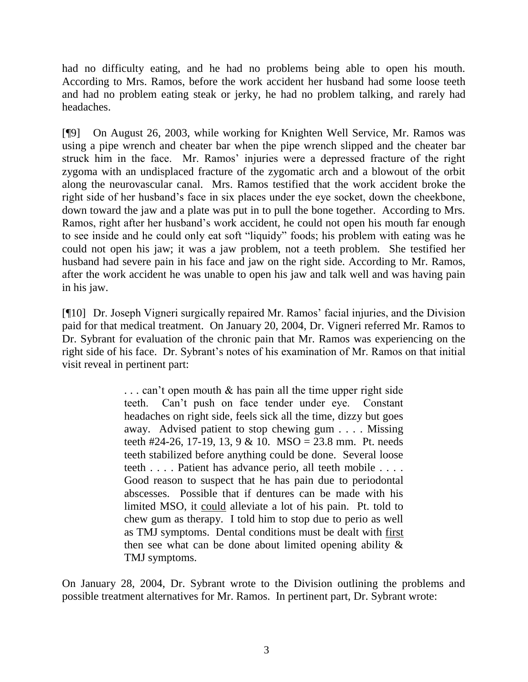had no difficulty eating, and he had no problems being able to open his mouth. According to Mrs. Ramos, before the work accident her husband had some loose teeth and had no problem eating steak or jerky, he had no problem talking, and rarely had headaches.

[¶9] On August 26, 2003, while working for Knighten Well Service, Mr. Ramos was using a pipe wrench and cheater bar when the pipe wrench slipped and the cheater bar struck him in the face. Mr. Ramos' injuries were a depressed fracture of the right zygoma with an undisplaced fracture of the zygomatic arch and a blowout of the orbit along the neurovascular canal. Mrs. Ramos testified that the work accident broke the right side of her husband's face in six places under the eye socket, down the cheekbone, down toward the jaw and a plate was put in to pull the bone together. According to Mrs. Ramos, right after her husband's work accident, he could not open his mouth far enough to see inside and he could only eat soft "liquidy" foods; his problem with eating was he could not open his jaw; it was a jaw problem, not a teeth problem. She testified her husband had severe pain in his face and jaw on the right side. According to Mr. Ramos, after the work accident he was unable to open his jaw and talk well and was having pain in his jaw.

[¶10] Dr. Joseph Vigneri surgically repaired Mr. Ramos' facial injuries, and the Division paid for that medical treatment. On January 20, 2004, Dr. Vigneri referred Mr. Ramos to Dr. Sybrant for evaluation of the chronic pain that Mr. Ramos was experiencing on the right side of his face. Dr. Sybrant's notes of his examination of Mr. Ramos on that initial visit reveal in pertinent part:

> . . . can't open mouth & has pain all the time upper right side teeth. Can't push on face tender under eye. Constant headaches on right side, feels sick all the time, dizzy but goes away. Advised patient to stop chewing gum . . . . Missing teeth #24-26, 17-19, 13, 9 & 10. MSO = 23.8 mm. Pt. needs teeth stabilized before anything could be done. Several loose teeth . . . . Patient has advance perio, all teeth mobile . . . . Good reason to suspect that he has pain due to periodontal abscesses. Possible that if dentures can be made with his limited MSO, it could alleviate a lot of his pain. Pt. told to chew gum as therapy. I told him to stop due to perio as well as TMJ symptoms. Dental conditions must be dealt with first then see what can be done about limited opening ability & TMJ symptoms.

On January 28, 2004, Dr. Sybrant wrote to the Division outlining the problems and possible treatment alternatives for Mr. Ramos. In pertinent part, Dr. Sybrant wrote: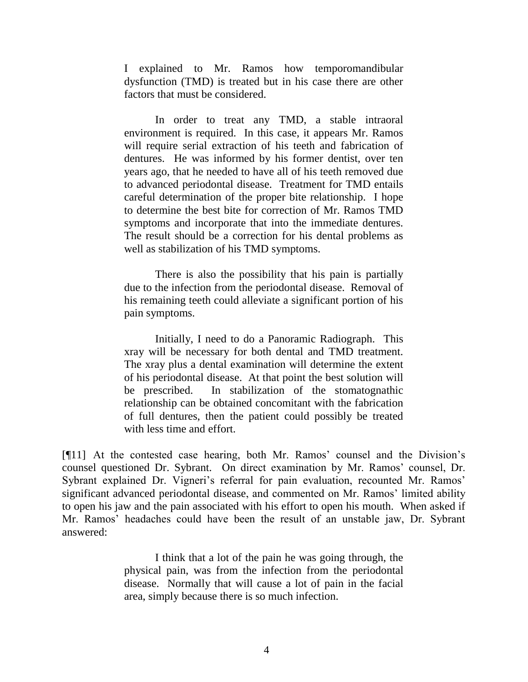I explained to Mr. Ramos how temporomandibular dysfunction (TMD) is treated but in his case there are other factors that must be considered.

In order to treat any TMD, a stable intraoral environment is required. In this case, it appears Mr. Ramos will require serial extraction of his teeth and fabrication of dentures. He was informed by his former dentist, over ten years ago, that he needed to have all of his teeth removed due to advanced periodontal disease. Treatment for TMD entails careful determination of the proper bite relationship. I hope to determine the best bite for correction of Mr. Ramos TMD symptoms and incorporate that into the immediate dentures. The result should be a correction for his dental problems as well as stabilization of his TMD symptoms.

There is also the possibility that his pain is partially due to the infection from the periodontal disease. Removal of his remaining teeth could alleviate a significant portion of his pain symptoms.

Initially, I need to do a Panoramic Radiograph. This xray will be necessary for both dental and TMD treatment. The xray plus a dental examination will determine the extent of his periodontal disease. At that point the best solution will be prescribed. In stabilization of the stomatognathic relationship can be obtained concomitant with the fabrication of full dentures, then the patient could possibly be treated with less time and effort.

[¶11] At the contested case hearing, both Mr. Ramos' counsel and the Division's counsel questioned Dr. Sybrant. On direct examination by Mr. Ramos' counsel, Dr. Sybrant explained Dr. Vigneri's referral for pain evaluation, recounted Mr. Ramos' significant advanced periodontal disease, and commented on Mr. Ramos' limited ability to open his jaw and the pain associated with his effort to open his mouth. When asked if Mr. Ramos' headaches could have been the result of an unstable jaw, Dr. Sybrant answered:

> I think that a lot of the pain he was going through, the physical pain, was from the infection from the periodontal disease. Normally that will cause a lot of pain in the facial area, simply because there is so much infection.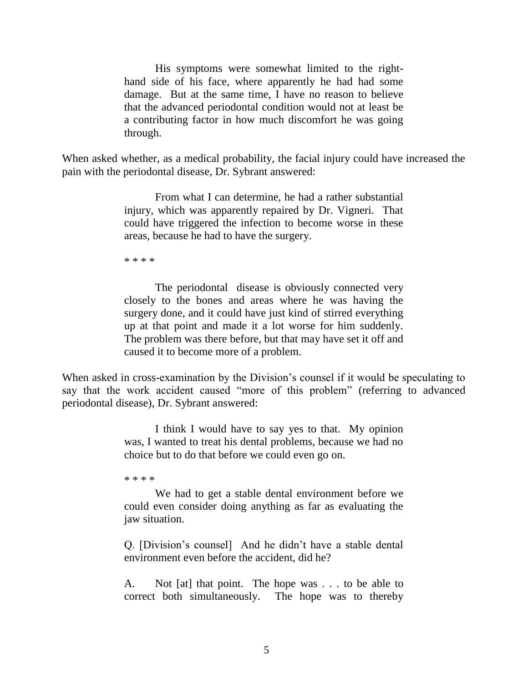His symptoms were somewhat limited to the righthand side of his face, where apparently he had had some damage. But at the same time, I have no reason to believe that the advanced periodontal condition would not at least be a contributing factor in how much discomfort he was going through.

When asked whether, as a medical probability, the facial injury could have increased the pain with the periodontal disease, Dr. Sybrant answered:

> From what I can determine, he had a rather substantial injury, which was apparently repaired by Dr. Vigneri. That could have triggered the infection to become worse in these areas, because he had to have the surgery.

\* \* \* \*

The periodontal disease is obviously connected very closely to the bones and areas where he was having the surgery done, and it could have just kind of stirred everything up at that point and made it a lot worse for him suddenly. The problem was there before, but that may have set it off and caused it to become more of a problem.

When asked in cross-examination by the Division's counsel if it would be speculating to say that the work accident caused "more of this problem" (referring to advanced periodontal disease), Dr. Sybrant answered:

> I think I would have to say yes to that. My opinion was, I wanted to treat his dental problems, because we had no choice but to do that before we could even go on.

\* \* \* \*

We had to get a stable dental environment before we could even consider doing anything as far as evaluating the jaw situation.

Q. [Division's counsel] And he didn't have a stable dental environment even before the accident, did he?

A. Not [at] that point. The hope was . . . to be able to correct both simultaneously. The hope was to thereby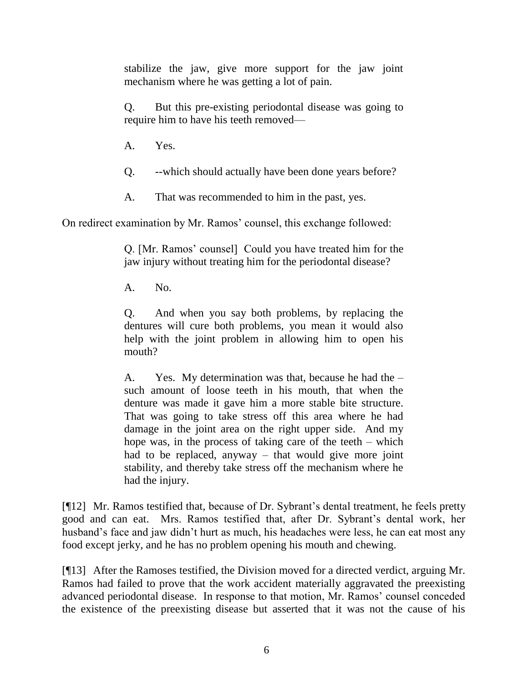stabilize the jaw, give more support for the jaw joint mechanism where he was getting a lot of pain.

Q. But this pre-existing periodontal disease was going to require him to have his teeth removed—

A. Yes.

Q. --which should actually have been done years before?

A. That was recommended to him in the past, yes.

On redirect examination by Mr. Ramos' counsel, this exchange followed:

Q. [Mr. Ramos' counsel] Could you have treated him for the jaw injury without treating him for the periodontal disease?

A. No.

Q. And when you say both problems, by replacing the dentures will cure both problems, you mean it would also help with the joint problem in allowing him to open his mouth?

A. Yes. My determination was that, because he had the – such amount of loose teeth in his mouth, that when the denture was made it gave him a more stable bite structure. That was going to take stress off this area where he had damage in the joint area on the right upper side. And my hope was, in the process of taking care of the teeth  $-$  which had to be replaced, anyway – that would give more joint stability, and thereby take stress off the mechanism where he had the injury.

[¶12] Mr. Ramos testified that, because of Dr. Sybrant's dental treatment, he feels pretty good and can eat. Mrs. Ramos testified that, after Dr. Sybrant's dental work, her husband's face and jaw didn't hurt as much, his headaches were less, he can eat most any food except jerky, and he has no problem opening his mouth and chewing.

[¶13] After the Ramoses testified, the Division moved for a directed verdict, arguing Mr. Ramos had failed to prove that the work accident materially aggravated the preexisting advanced periodontal disease. In response to that motion, Mr. Ramos' counsel conceded the existence of the preexisting disease but asserted that it was not the cause of his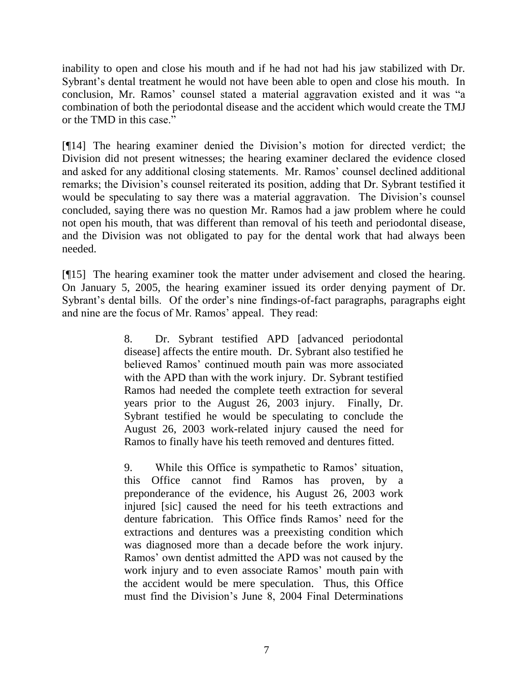inability to open and close his mouth and if he had not had his jaw stabilized with Dr. Sybrant's dental treatment he would not have been able to open and close his mouth. In conclusion, Mr. Ramos' counsel stated a material aggravation existed and it was "a combination of both the periodontal disease and the accident which would create the TMJ or the TMD in this case."

[¶14] The hearing examiner denied the Division's motion for directed verdict; the Division did not present witnesses; the hearing examiner declared the evidence closed and asked for any additional closing statements. Mr. Ramos' counsel declined additional remarks; the Division's counsel reiterated its position, adding that Dr. Sybrant testified it would be speculating to say there was a material aggravation. The Division's counsel concluded, saying there was no question Mr. Ramos had a jaw problem where he could not open his mouth, that was different than removal of his teeth and periodontal disease, and the Division was not obligated to pay for the dental work that had always been needed.

[¶15] The hearing examiner took the matter under advisement and closed the hearing. On January 5, 2005, the hearing examiner issued its order denying payment of Dr. Sybrant's dental bills. Of the order's nine findings-of-fact paragraphs, paragraphs eight and nine are the focus of Mr. Ramos' appeal. They read:

> 8. Dr. Sybrant testified APD [advanced periodontal disease] affects the entire mouth. Dr. Sybrant also testified he believed Ramos' continued mouth pain was more associated with the APD than with the work injury. Dr. Sybrant testified Ramos had needed the complete teeth extraction for several years prior to the August 26, 2003 injury. Finally, Dr. Sybrant testified he would be speculating to conclude the August 26, 2003 work-related injury caused the need for Ramos to finally have his teeth removed and dentures fitted.

> 9. While this Office is sympathetic to Ramos' situation, this Office cannot find Ramos has proven, by a preponderance of the evidence, his August 26, 2003 work injured [sic] caused the need for his teeth extractions and denture fabrication. This Office finds Ramos' need for the extractions and dentures was a preexisting condition which was diagnosed more than a decade before the work injury. Ramos' own dentist admitted the APD was not caused by the work injury and to even associate Ramos' mouth pain with the accident would be mere speculation. Thus, this Office must find the Division's June 8, 2004 Final Determinations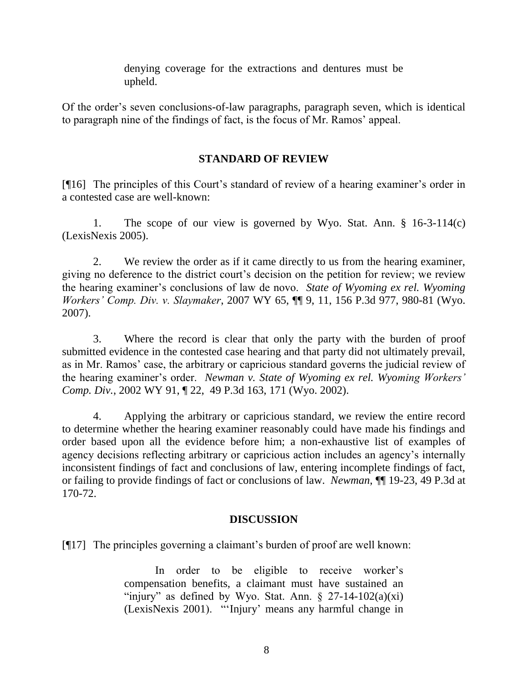denying coverage for the extractions and dentures must be upheld.

Of the order's seven conclusions-of-law paragraphs, paragraph seven, which is identical to paragraph nine of the findings of fact, is the focus of Mr. Ramos' appeal.

# **STANDARD OF REVIEW**

[¶16] The principles of this Court's standard of review of a hearing examiner's order in a contested case are well-known:

1. The scope of our view is governed by Wyo. Stat. Ann. § 16-3-114(c) (LexisNexis 2005).

2. We review the order as if it came directly to us from the hearing examiner, giving no deference to the district court's decision on the petition for review; we review the hearing examiner's conclusions of law de novo. *State of Wyoming ex rel. Wyoming Workers' Comp. Div. v. Slaymaker*, 2007 WY 65, ¶¶ 9, 11, 156 P.3d 977, 980-81 (Wyo. 2007).

3. Where the record is clear that only the party with the burden of proof submitted evidence in the contested case hearing and that party did not ultimately prevail, as in Mr. Ramos' case, the arbitrary or capricious standard governs the judicial review of the hearing examiner's order. *Newman v. State of Wyoming ex rel. Wyoming Workers' Comp. Div.*, 2002 WY 91, ¶ 22, 49 P.3d 163, 171 (Wyo. 2002).

4. Applying the arbitrary or capricious standard, we review the entire record to determine whether the hearing examiner reasonably could have made his findings and order based upon all the evidence before him; a non-exhaustive list of examples of agency decisions reflecting arbitrary or capricious action includes an agency's internally inconsistent findings of fact and conclusions of law, entering incomplete findings of fact, or failing to provide findings of fact or conclusions of law. *Newman*, ¶¶ 19-23, 49 P.3d at 170-72.

# **DISCUSSION**

[¶17] The principles governing a claimant's burden of proof are well known:

In order to be eligible to receive worker's compensation benefits, a claimant must have sustained an "injury" as defined by Wyo. Stat. Ann.  $\S$  27-14-102(a)(xi) (LexisNexis 2001). "'Injury' means any harmful change in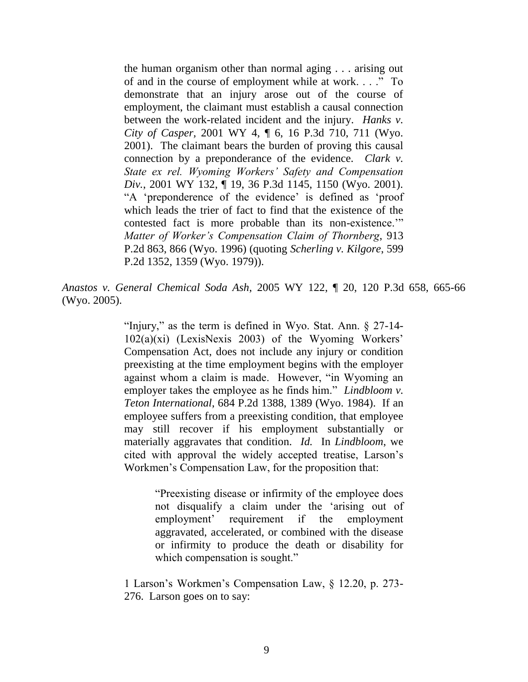the human organism other than normal aging . . . arising out of and in the course of employment while at work. . . ." To demonstrate that an injury arose out of the course of employment, the claimant must establish a causal connection between the work-related incident and the injury. *Hanks v. City of Casper,* 2001 WY 4, ¶ 6, 16 P.3d 710, 711 (Wyo. 2001). The claimant bears the burden of proving this causal connection by a preponderance of the evidence. *Clark v. State ex rel. Wyoming Workers' Safety and Compensation Div.*, 2001 WY 132, ¶ 19, 36 P.3d 1145, 1150 (Wyo. 2001). "A 'preponderence of the evidence' is defined as 'proof which leads the trier of fact to find that the existence of the contested fact is more probable than its non-existence." *Matter of Worker's Compensation Claim of Thornberg*, 913 P.2d 863, 866 (Wyo. 1996) (quoting *Scherling v. Kilgore*, 599 P.2d 1352, 1359 (Wyo. 1979)).

*Anastos v. General Chemical Soda Ash*, 2005 WY 122, ¶ 20, 120 P.3d 658, 665-66 (Wyo. 2005).

> "Injury," as the term is defined in Wyo. Stat. Ann.  $\S$  27-14-102(a)(xi) (LexisNexis 2003) of the Wyoming Workers' Compensation Act, does not include any injury or condition preexisting at the time employment begins with the employer against whom a claim is made. However, "in Wyoming an employer takes the employee as he finds him." *Lindbloom v. Teton International*, 684 P.2d 1388, 1389 (Wyo. 1984). If an employee suffers from a preexisting condition, that employee may still recover if his employment substantially or materially aggravates that condition. *Id.* In *Lindbloom*, we cited with approval the widely accepted treatise, Larson's Workmen's Compensation Law, for the proposition that:

> > ―Preexisting disease or infirmity of the employee does not disqualify a claim under the 'arising out of employment' requirement if the employment aggravated, accelerated, or combined with the disease or infirmity to produce the death or disability for which compensation is sought."

1 Larson's Workmen's Compensation Law, § 12.20, p. 273- 276. Larson goes on to say: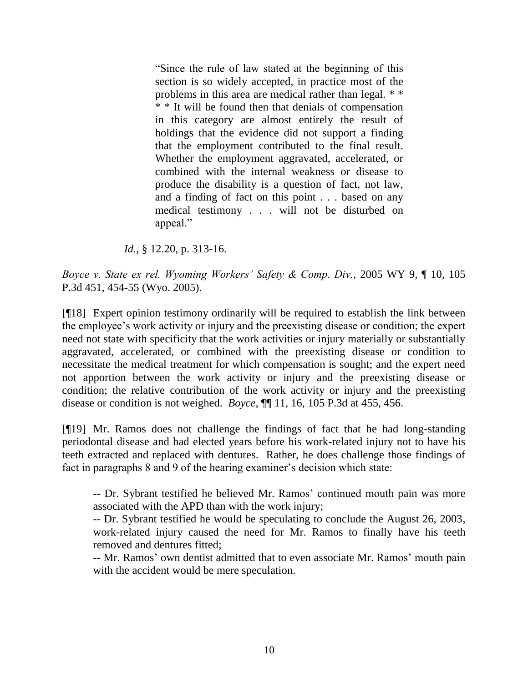―Since the rule of law stated at the beginning of this section is so widely accepted, in practice most of the problems in this area are medical rather than legal. \* \* \* \* It will be found then that denials of compensation in this category are almost entirely the result of holdings that the evidence did not support a finding that the employment contributed to the final result. Whether the employment aggravated, accelerated, or combined with the internal weakness or disease to produce the disability is a question of fact, not law, and a finding of fact on this point . . . based on any medical testimony . . . will not be disturbed on appeal."

*Id.*, § 12.20, p. 313-16.

*Boyce v. State ex rel. Wyoming Workers' Safety & Comp. Div.*, 2005 WY 9, ¶ 10, 105 P.3d 451, 454-55 (Wyo. 2005).

[¶18] Expert opinion testimony ordinarily will be required to establish the link between the employee's work activity or injury and the preexisting disease or condition; the expert need not state with specificity that the work activities or injury materially or substantially aggravated, accelerated, or combined with the preexisting disease or condition to necessitate the medical treatment for which compensation is sought; and the expert need not apportion between the work activity or injury and the preexisting disease or condition; the relative contribution of the work activity or injury and the preexisting disease or condition is not weighed. *Boyce*, ¶¶ 11, 16, 105 P.3d at 455, 456.

[¶19] Mr. Ramos does not challenge the findings of fact that he had long-standing periodontal disease and had elected years before his work-related injury not to have his teeth extracted and replaced with dentures. Rather, he does challenge those findings of fact in paragraphs 8 and 9 of the hearing examiner's decision which state:

-- Dr. Sybrant testified he believed Mr. Ramos' continued mouth pain was more associated with the APD than with the work injury;

-- Dr. Sybrant testified he would be speculating to conclude the August 26, 2003, work-related injury caused the need for Mr. Ramos to finally have his teeth removed and dentures fitted;

-- Mr. Ramos' own dentist admitted that to even associate Mr. Ramos' mouth pain with the accident would be mere speculation.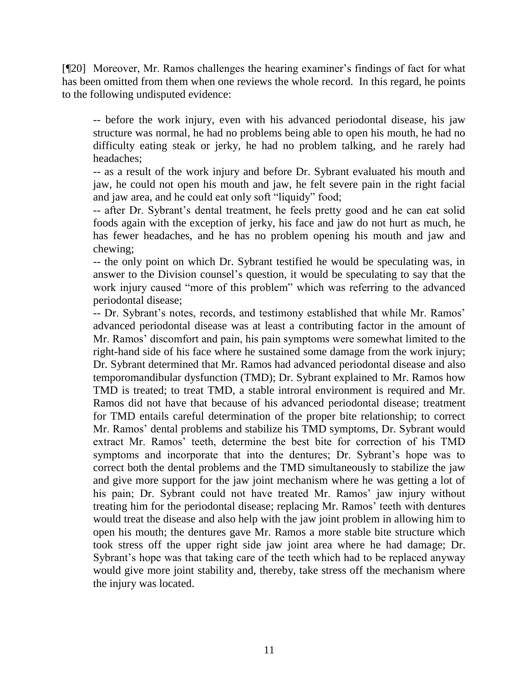[¶20] Moreover, Mr. Ramos challenges the hearing examiner's findings of fact for what has been omitted from them when one reviews the whole record. In this regard, he points to the following undisputed evidence:

-- before the work injury, even with his advanced periodontal disease, his jaw structure was normal, he had no problems being able to open his mouth, he had no difficulty eating steak or jerky, he had no problem talking, and he rarely had headaches;

-- as a result of the work injury and before Dr. Sybrant evaluated his mouth and jaw, he could not open his mouth and jaw, he felt severe pain in the right facial and jaw area, and he could eat only soft "liquidy" food;

-- after Dr. Sybrant's dental treatment, he feels pretty good and he can eat solid foods again with the exception of jerky, his face and jaw do not hurt as much, he has fewer headaches, and he has no problem opening his mouth and jaw and chewing;

-- the only point on which Dr. Sybrant testified he would be speculating was, in answer to the Division counsel's question, it would be speculating to say that the work injury caused "more of this problem" which was referring to the advanced periodontal disease;

-- Dr. Sybrant's notes, records, and testimony established that while Mr. Ramos' advanced periodontal disease was at least a contributing factor in the amount of Mr. Ramos' discomfort and pain, his pain symptoms were somewhat limited to the right-hand side of his face where he sustained some damage from the work injury; Dr. Sybrant determined that Mr. Ramos had advanced periodontal disease and also temporomandibular dysfunction (TMD); Dr. Sybrant explained to Mr. Ramos how TMD is treated; to treat TMD, a stable introral environment is required and Mr. Ramos did not have that because of his advanced periodontal disease; treatment for TMD entails careful determination of the proper bite relationship; to correct Mr. Ramos' dental problems and stabilize his TMD symptoms, Dr. Sybrant would extract Mr. Ramos' teeth, determine the best bite for correction of his TMD symptoms and incorporate that into the dentures; Dr. Sybrant's hope was to correct both the dental problems and the TMD simultaneously to stabilize the jaw and give more support for the jaw joint mechanism where he was getting a lot of his pain; Dr. Sybrant could not have treated Mr. Ramos' jaw injury without treating him for the periodontal disease; replacing Mr. Ramos' teeth with dentures would treat the disease and also help with the jaw joint problem in allowing him to open his mouth; the dentures gave Mr. Ramos a more stable bite structure which took stress off the upper right side jaw joint area where he had damage; Dr. Sybrant's hope was that taking care of the teeth which had to be replaced anyway would give more joint stability and, thereby, take stress off the mechanism where the injury was located.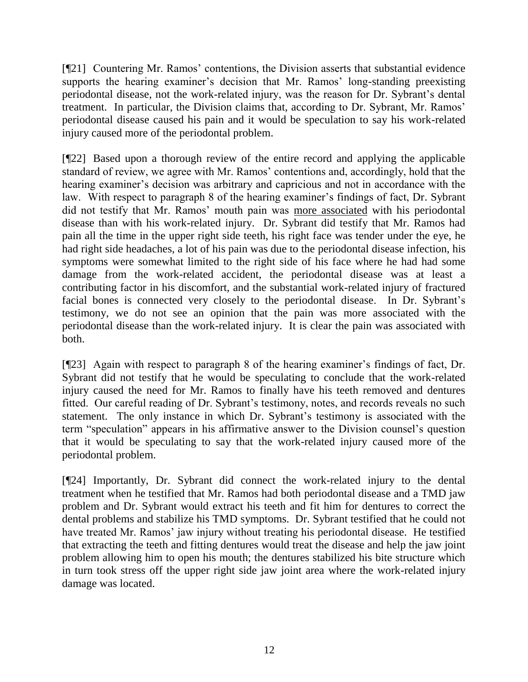[¶21] Countering Mr. Ramos' contentions, the Division asserts that substantial evidence supports the hearing examiner's decision that Mr. Ramos' long-standing preexisting periodontal disease, not the work-related injury, was the reason for Dr. Sybrant's dental treatment. In particular, the Division claims that, according to Dr. Sybrant, Mr. Ramos' periodontal disease caused his pain and it would be speculation to say his work-related injury caused more of the periodontal problem.

[¶22] Based upon a thorough review of the entire record and applying the applicable standard of review, we agree with Mr. Ramos' contentions and, accordingly, hold that the hearing examiner's decision was arbitrary and capricious and not in accordance with the law. With respect to paragraph 8 of the hearing examiner's findings of fact, Dr. Sybrant did not testify that Mr. Ramos' mouth pain was more associated with his periodontal disease than with his work-related injury. Dr. Sybrant did testify that Mr. Ramos had pain all the time in the upper right side teeth, his right face was tender under the eye, he had right side headaches, a lot of his pain was due to the periodontal disease infection, his symptoms were somewhat limited to the right side of his face where he had had some damage from the work-related accident, the periodontal disease was at least a contributing factor in his discomfort, and the substantial work-related injury of fractured facial bones is connected very closely to the periodontal disease. In Dr. Sybrant's testimony, we do not see an opinion that the pain was more associated with the periodontal disease than the work-related injury. It is clear the pain was associated with both.

[¶23] Again with respect to paragraph 8 of the hearing examiner's findings of fact, Dr. Sybrant did not testify that he would be speculating to conclude that the work-related injury caused the need for Mr. Ramos to finally have his teeth removed and dentures fitted. Our careful reading of Dr. Sybrant's testimony, notes, and records reveals no such statement. The only instance in which Dr. Sybrant's testimony is associated with the term "speculation" appears in his affirmative answer to the Division counsel's question that it would be speculating to say that the work-related injury caused more of the periodontal problem.

[¶24] Importantly, Dr. Sybrant did connect the work-related injury to the dental treatment when he testified that Mr. Ramos had both periodontal disease and a TMD jaw problem and Dr. Sybrant would extract his teeth and fit him for dentures to correct the dental problems and stabilize his TMD symptoms. Dr. Sybrant testified that he could not have treated Mr. Ramos' jaw injury without treating his periodontal disease. He testified that extracting the teeth and fitting dentures would treat the disease and help the jaw joint problem allowing him to open his mouth; the dentures stabilized his bite structure which in turn took stress off the upper right side jaw joint area where the work-related injury damage was located.